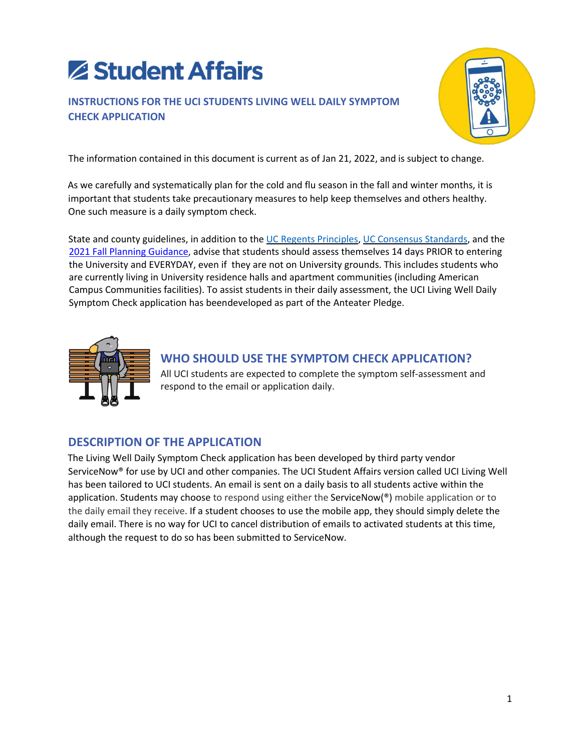# Student Affairs

## **INSTRUCTIONS FOR THE UCI STUDENTS LIVING WELL DAILY SYMPTOM CHECK APPLICATION**



The information contained in this document is current as of Jan 21, 2022, and is subject to change.

As we carefully and systematically plan for the cold and flu season in the fall and winter months, it is important that students take precautionary measures to help keep themselves and others healthy. One such measure is a daily symptom check.

State and county guidelines, in addition to the UC Regents Principles, UC Consensus Standards, and the 2021 Fall Planning Guidance, advise that students should assess themselves 14 days PRIOR to entering the University and EVERYDAY, even if they are not on University grounds. This includes students who are currently living in University residence halls and apartment communities (including American Campus Communities facilities). To assist students in their daily assessment, the UCI Living Well Daily Symptom Check application has beendeveloped as part of the Anteater Pledge.



# **WHO SHOULD USE THE SYMPTOM CHECK APPLICATION?**

All UCI students are expected to complete the symptom self-assessment and respond to the email or application daily.

# **DESCRIPTION OF THE APPLICATION**

The Living Well Daily Symptom Check application has been developed by third party vendor ServiceNow® for use by UCI and other companies. The UCI Student Affairs version called UCI Living Well has been tailored to UCI students. An email is sent on a daily basis to all students active within the application. Students may choose to respond using either the ServiceNow( $\degree$ ) mobile application or to the daily email they receive. If a student chooses to use the mobile app, they should simply delete the daily email. There is no way for UCI to cancel distribution of emails to activated students at this time, although the request to do so has been submitted to ServiceNow.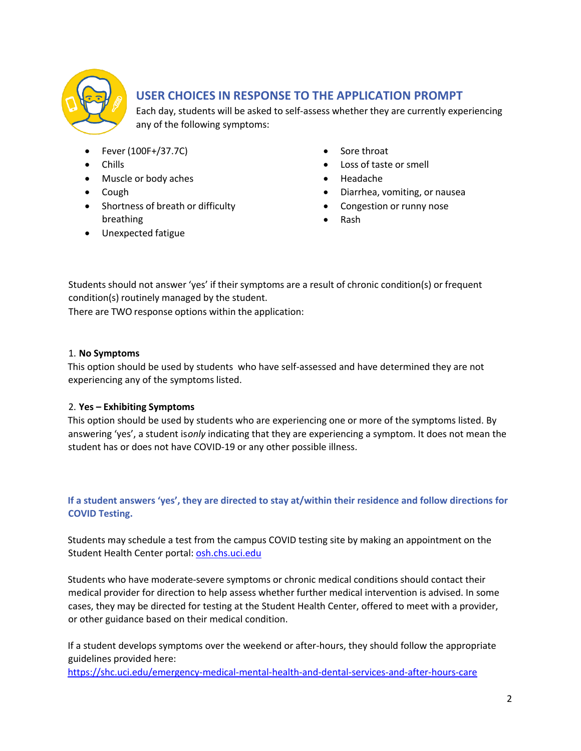

## **USER CHOICES IN RESPONSE TO THE APPLICATION PROMPT**

Each day, students will be asked to self-assess whether they are currently experiencing any of the following symptoms:

- Fever (100F+/37.7C)
- Chills
- Muscle or body aches
- Cough
- Shortness of breath or difficulty breathing
- Unexpected fatigue
- Sore throat
- Loss of taste or smell
- Headache
- Diarrhea, vomiting, or nausea
- Congestion or runny nose
- Rash

Students should not answer 'yes' if their symptoms are a result of chronic condition(s) or frequent condition(s) routinely managed by the student.

There are TWO response options within the application:

#### 1. **No Symptoms**

This option should be used by students who have self-assessed and have determined they are not experiencing any of the symptoms listed.

#### 2. **Yes – Exhibiting Symptoms**

This option should be used by students who are experiencing one or more of the symptoms listed. By answering 'yes', a student is *only* indicating that they are experiencing a symptom. It does not mean the student has or does not have COVID-19 or any other possible illness.

#### **If a student answers 'yes', they are directed to stay at/within their residence and follow directions for COVID Testing.**

Students may schedule a test from the campus COVID testing site by making an appointment on the Student Health Center portal: osh.chs.uci.edu

Students who have moderate-severe symptoms or chronic medical conditions should contact their medical provider for direction to help assess whether further medical intervention is advised. In some cases, they may be directed for testing at the Student Health Center, offered to meet with a provider, or other guidance based on their medical condition.

If a student develops symptoms over the weekend or after-hours, they should follow the appropriate guidelines provided here:

https://shc.uci.edu/emergency-medical-mental-health-and-dental-services-and-after-hours-care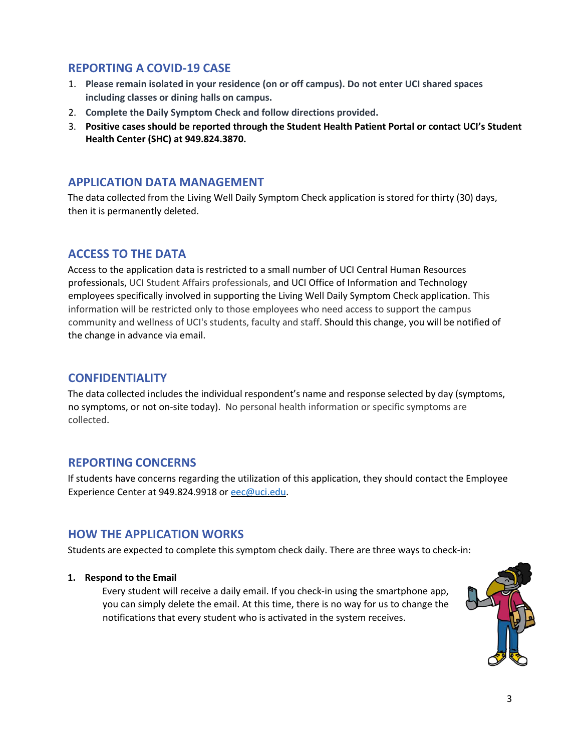### **REPORTING A COVID-19 CASE**

- 1. **Please remain isolated in your residence (on or off campus). Do not enter UCI shared spaces including classes or dining halls on campus.**
- 2. **Complete the Daily Symptom Check and follow directions provided.**
- 3. **Positive cases should be reported through the Student Health Patient Portal or contact UCI's Student Health Center (SHC) at 949.824.3870.**

## **APPLICATION DATA MANAGEMENT**

The data collected from the Living Well Daily Symptom Check application is stored for thirty (30) days, then it is permanently deleted.

## **ACCESS TO THE DATA**

Access to the application data is restricted to a small number of UCI Central Human Resources professionals, UCI Student Affairs professionals, and UCI Office of Information and Technology employees specifically involved in supporting the Living Well Daily Symptom Check application. This information will be restricted only to those employees who need access to support the campus community and wellness of UCI's students, faculty and staff. Should this change, you will be notified of the change in advance via email.

## **CONFIDENTIALITY**

The data collected includes the individual respondent's name and response selected by day (symptoms, no symptoms, or not on-site today). No personal health information or specific symptoms are collected.

## **REPORTING CONCERNS**

If students have concerns regarding the utilization of this application, they should contact the Employee Experience Center at 949.824.9918 or eec@uci.edu.

## **HOW THE APPLICATION WORKS**

Students are expected to complete this symptom check daily. There are three ways to check-in:

#### **1. Respond to the Email**

Every student will receive a daily email. If you check-in using the smartphone app, you can simply delete the email. At this time, there is no way for us to change the notifications that every student who is activated in the system receives.